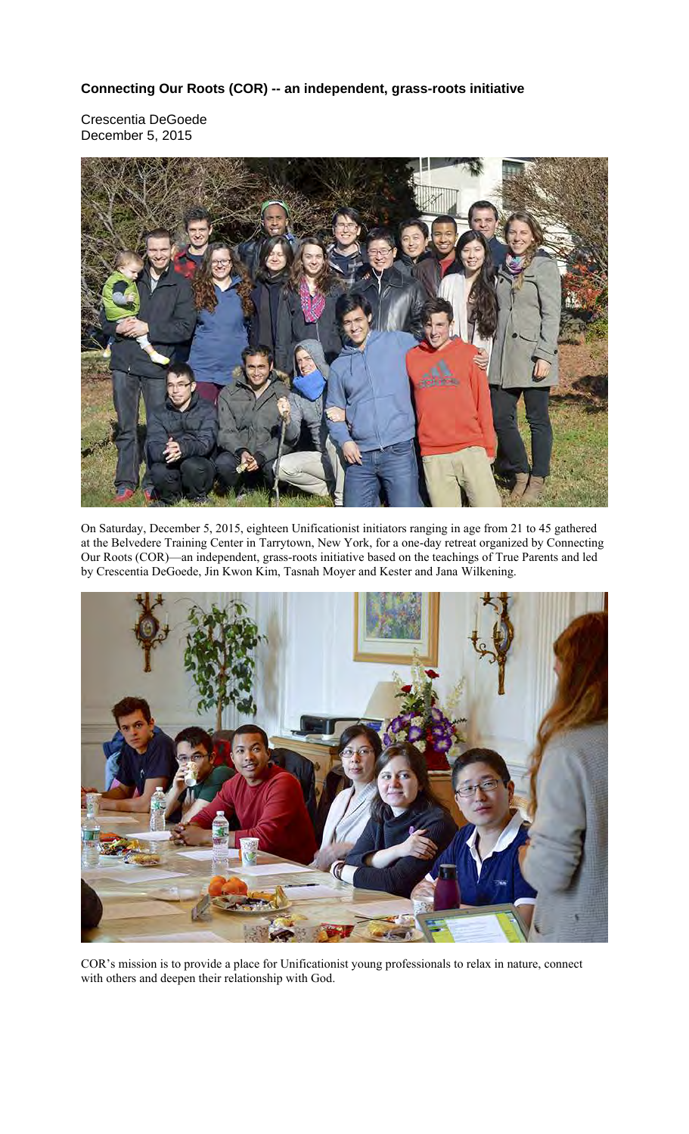## **Connecting Our Roots (COR) -- an independent, grass-roots initiative**

Crescentia DeGoede December 5, 2015



On Saturday, December 5, 2015, eighteen Unificationist initiators ranging in age from 21 to 45 gathered at the Belvedere Training Center in Tarrytown, New York, for a one-day retreat organized by Connecting Our Roots (COR)—an independent, grass-roots initiative based on the teachings of True Parents and led by Crescentia DeGoede, Jin Kwon Kim, Tasnah Moyer and Kester and Jana Wilkening.



COR's mission is to provide a place for Unificationist young professionals to relax in nature, connect with others and deepen their relationship with God.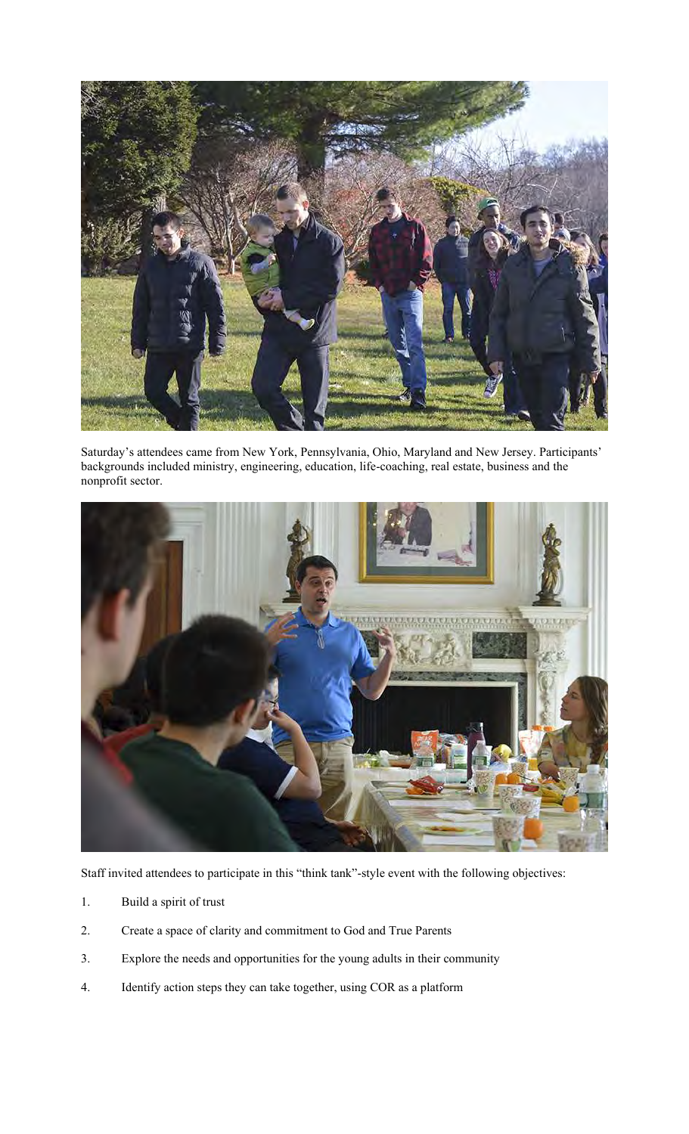

Saturday's attendees came from New York, Pennsylvania, Ohio, Maryland and New Jersey. Participants' backgrounds included ministry, engineering, education, life-coaching, real estate, business and the nonprofit sector.



Staff invited attendees to participate in this "think tank"-style event with the following objectives:

- 1. Build a spirit of trust
- 2. Create a space of clarity and commitment to God and True Parents
- 3. Explore the needs and opportunities for the young adults in their community
- 4. Identify action steps they can take together, using COR as a platform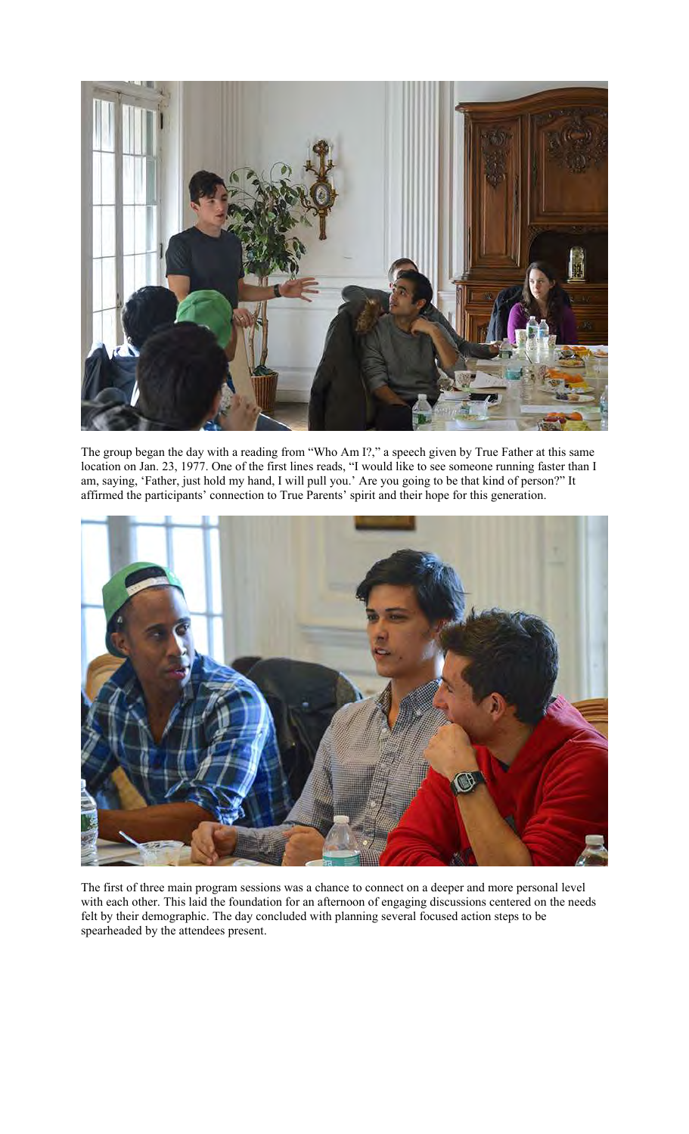

The group began the day with a reading from "Who Am I?," a speech given by True Father at this same location on Jan. 23, 1977. One of the first lines reads, "I would like to see someone running faster than I am, saying, 'Father, just hold my hand, I will pull you.' Are you going to be that kind of person?" It affirmed the participants' connection to True Parents' spirit and their hope for this generation.



The first of three main program sessions was a chance to connect on a deeper and more personal level with each other. This laid the foundation for an afternoon of engaging discussions centered on the needs felt by their demographic. The day concluded with planning several focused action steps to be spearheaded by the attendees present.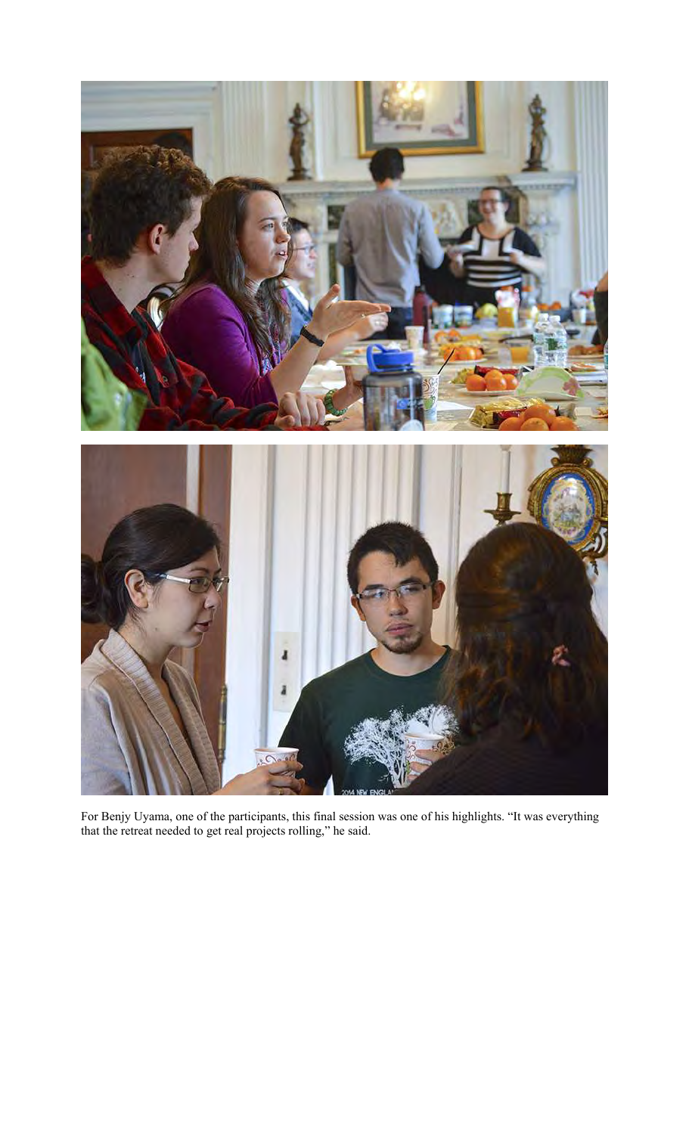

For Benjy Uyama, one of the participants, this final session was one of his highlights. "It was everything that the retreat needed to get real projects rolling," he said.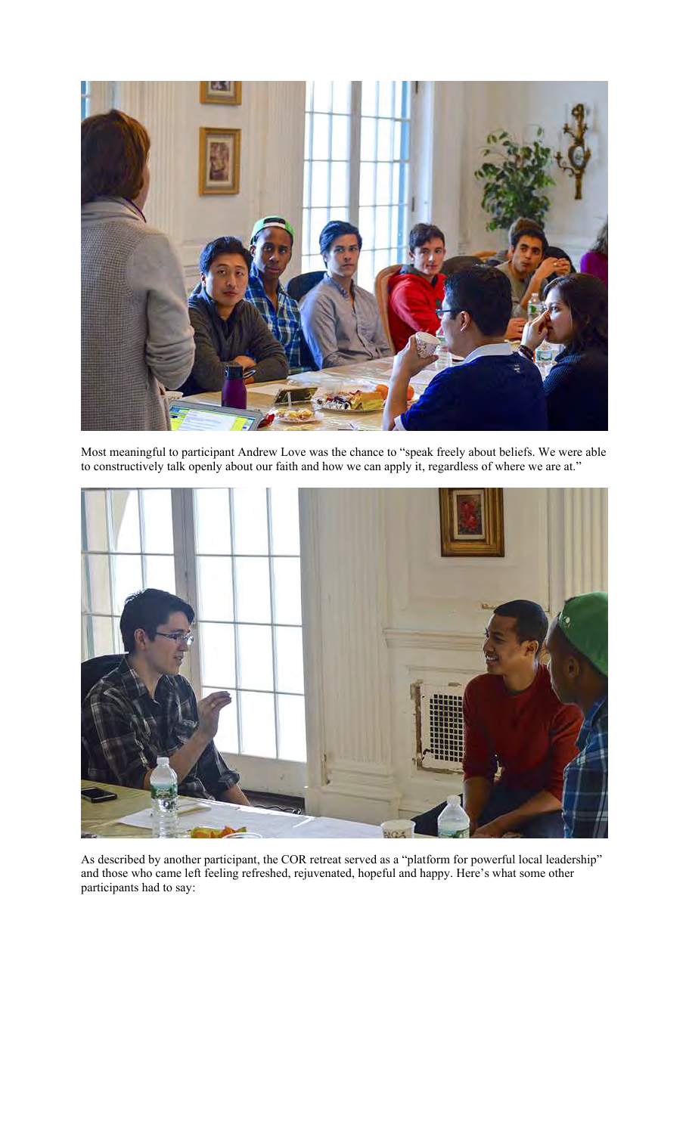

Most meaningful to participant Andrew Love was the chance to "speak freely about beliefs. We were able to constructively talk openly about our faith and how we can apply it, regardless of where we are at."



As described by another participant, the COR retreat served as a "platform for powerful local leadership" and those who came left feeling refreshed, rejuvenated, hopeful and happy. Here's what some other participants had to say: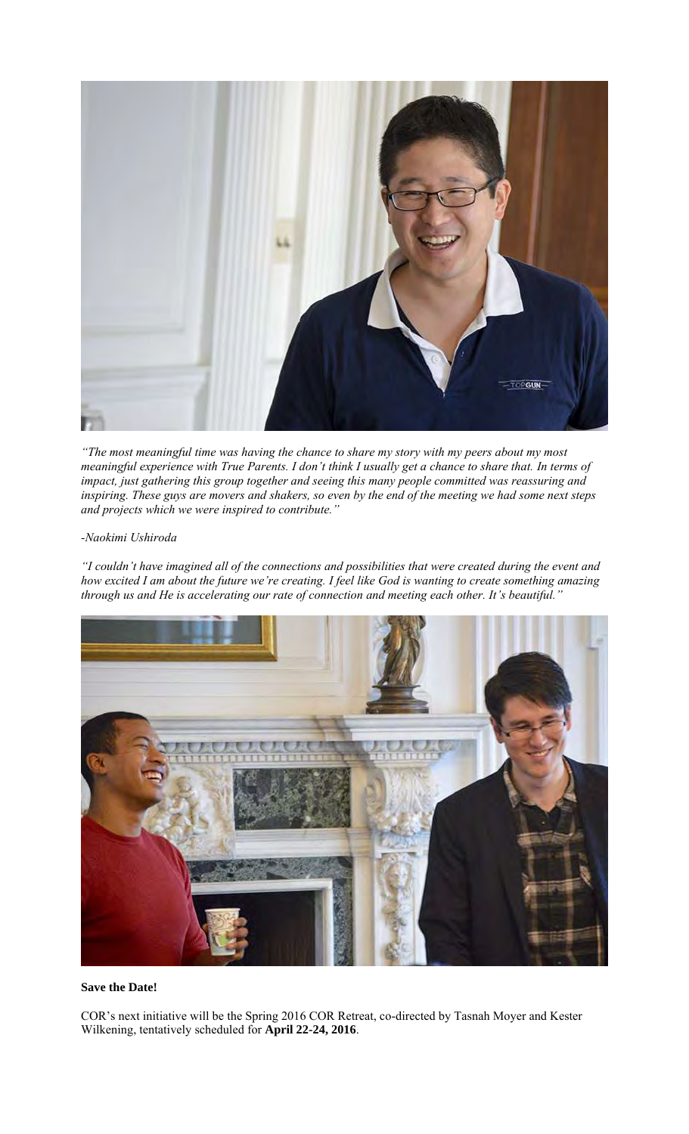

*"The most meaningful time was having the chance to share my story with my peers about my most meaningful experience with True Parents. I don't think I usually get a chance to share that. In terms of impact, just gathering this group together and seeing this many people committed was reassuring and inspiring. These guys are movers and shakers, so even by the end of the meeting we had some next steps and projects which we were inspired to contribute."*

## *-Naokimi Ushiroda*

*"I couldn't have imagined all of the connections and possibilities that were created during the event and how excited I am about the future we're creating. I feel like God is wanting to create something amazing through us and He is accelerating our rate of connection and meeting each other. It's beautiful."*

![](_page_5_Picture_4.jpeg)

## **Save the Date!**

COR's next initiative will be the Spring 2016 COR Retreat, co-directed by Tasnah Moyer and Kester Wilkening, tentatively scheduled for **April 22-24, 2016**.